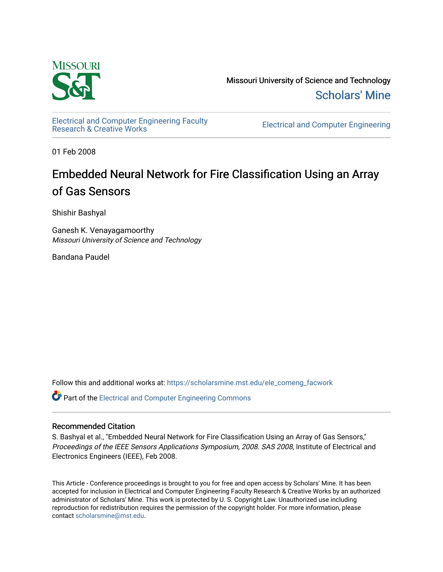

Missouri University of Science and Technology [Scholars' Mine](https://scholarsmine.mst.edu/) 

[Electrical and Computer Engineering Faculty](https://scholarsmine.mst.edu/ele_comeng_facwork)

**Electrical and Computer Engineering** 

01 Feb 2008

# Embedded Neural Network for Fire Classification Using an Array of Gas Sensors

Shishir Bashyal

Ganesh K. Venayagamoorthy Missouri University of Science and Technology

Bandana Paudel

Follow this and additional works at: [https://scholarsmine.mst.edu/ele\\_comeng\\_facwork](https://scholarsmine.mst.edu/ele_comeng_facwork?utm_source=scholarsmine.mst.edu%2Fele_comeng_facwork%2F1004&utm_medium=PDF&utm_campaign=PDFCoverPages)

**C** Part of the Electrical and Computer Engineering Commons

### Recommended Citation

S. Bashyal et al., "Embedded Neural Network for Fire Classification Using an Array of Gas Sensors," Proceedings of the IEEE Sensors Applications Symposium, 2008. SAS 2008, Institute of Electrical and Electronics Engineers (IEEE), Feb 2008.

This Article - Conference proceedings is brought to you for free and open access by Scholars' Mine. It has been accepted for inclusion in Electrical and Computer Engineering Faculty Research & Creative Works by an authorized administrator of Scholars' Mine. This work is protected by U. S. Copyright Law. Unauthorized use including reproduction for redistribution requires the permission of the copyright holder. For more information, please contact [scholarsmine@mst.edu](mailto:scholarsmine@mst.edu).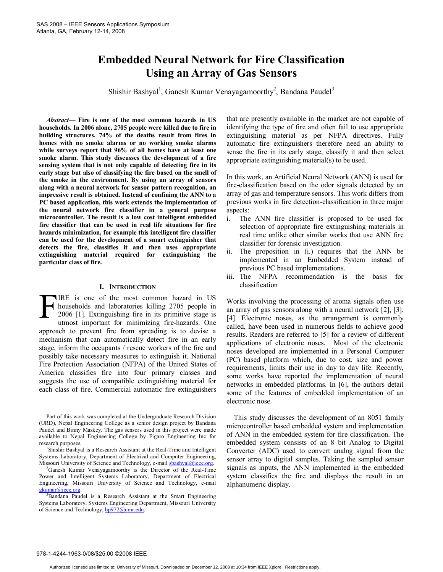## **Embedded Neural Network for Fire Classification Using an Array of Gas Sensors**

Shishir Bashyal<sup>1</sup>, Ganesh Kumar Venayagamoorthy<sup>2</sup>, Bandana Paudel<sup>3</sup>

*Abstract***— Fire is one of the most common hazards in US households. In 2006 alone, 2705 people were killed due to fire in building structures. 74% of the deaths result from fires in homes with no smoke alarms or no working smoke alarms while surveys report that 96% of all homes have at least one smoke alarm. This study discusses the development of a fire sensing system that is not only capable of detecting fire in its early stage but also of classifying the fire based on the smell of the smoke in the environment. By using an array of sensors along with a neural network for sensor pattern recognition, an impressive result is obtained. Instead of confining the ANN to a PC based application, this work extends the implementation of the neural network fire classifier in a general purpose microcontroller. The result is a low cost intelligent embedded fire classifier that can be used in real life situations for fire hazards minimization, for example this intelligent fire classifier can be used for the development of a smart extinguisher that detects the fire, classifies it and then uses appropriate extinguishing material required for extinguishing the particular class of fire.** 

#### **I. INTRODUCTION**

IRE is one of the most common hazard in US households and laboratories killing 2705 people in 2006 [1]. Extinguishing fire in its primitive stage is utmost important for minimizing fire-hazards. One approach to prevent fire from spreading is to devise a mechanism that can automatically detect fire in an early stage, inform the occupants / rescue workers of the fire and possibly take necessary measures to extinguish it. National Fire Protection Association (NFPA) of the United States of America classifies fire into four primary classes and suggests the use of compatible extinguishing material for each class of fire. Commercial automatic fire extinguishers  $\Gamma_{\text{hot}}^{\text{IRI}}$ 

Part of this work was completed at the Undergraduate Research Division (URD), Nepal Engineering College as a senior design project by Bandana Paudel and Binny Maskey. The gas sensors used in this project were made available to Nepal Engineering College by Figaro Engineering Inc for research purposes.

<sup>1</sup>Shishir Bashyal is a Research Assistant at the Real-Time and Intelligent Systems Laboratory, Department of Electrical and Computer Engineering, Missouri University of Science and Technology, e-mail sbashyal@ieee.org.

<sup>2</sup>Ganesh Kumar Venayagamoorthy is the Director of the Real-Time Power and Intelligent Systems Laboratory, Department of Electrical Engineering, Missouri University of Science and Technology, e-mail gkumar@ieee.org.

that are presently available in the market are not capable of identifying the type of fire and often fail to use appropriate extinguishing material as per NFPA directives. Fully automatic fire extinguishers therefore need an ability to sense the fire in its early stage, classify it and then select appropriate extinguishing material(s) to be used.

In this work, an Artificial Neural Network (ANN) is used for fire-classification based on the odor signals detected by an array of gas and temperature sensors. This work differs from previous works in fire detection-classification in three major aspects:

- i. The ANN fire classifier is proposed to be used for selection of appropriate fire extinguishing materials in real time unlike other similar works that use ANN fire classifier for forensic investigation.
- ii. The proposition in (i.) requires that the ANN be implemented in an Embedded System instead of previous PC based implementations.
- iii. The NFPA recommendation is the basis for classification

Works involving the processing of aroma signals often use an array of gas sensors along with a neural network [2], [3], [4]. Electronic noses, as the arrangement is commonly called, have been used in numerous fields to achieve good results. Readers are referred to [5] for a review of different applications of electronic noses. Most of the electronic noses developed are implemented in a Personal Computer (PC) based platform which, due to cost, size and power requirements, limits their use in day to day life. Recently, some works have reported the implementation of neural networks in embedded platforms. In [6], the authors detail some of the features of embedded implementation of an electronic nose.

This study discusses the development of an 8051 family microcontroller based embedded system and implementation of ANN in the embedded system for fire classification. The embedded system consists of an 8 bit Analog to Digital Converter (ADC) used to convert analog signal from the sensor array to digital samples. Taking the sampled sensor signals as inputs, the ANN implemented in the embedded system classifies the fire and displays the result in an alphanumeric display.

<sup>&</sup>lt;sup>3</sup>Bandana Paudel is a Research Assistant at the Smart Engineering Systems Laboratory, Systems Engineering Department, Missouri University of Science and Technology, bp972@umr.edu.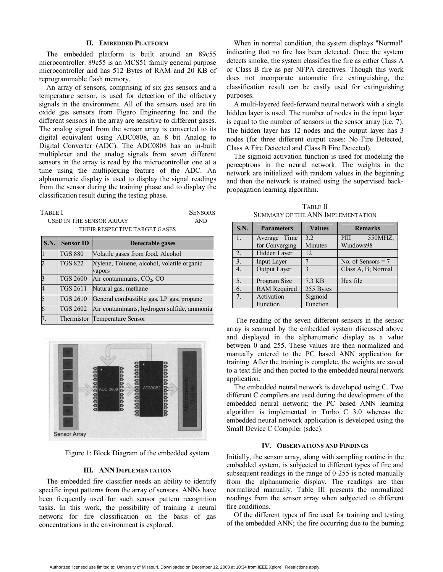#### **II. EMBEDDED PLATFORM**

The embedded platform is built around an 89c55 microcontroller. 89c55 is an MCS51 family general purpose microcontroller and has 512 Bytes of RAM and 20 KB of reprogrammable flash memory.

An array of sensors, comprising of six gas sensors and a temperature sensor, is used for detection of the olfactory signals in the environment. All of the sensors used are tin oxide gas sensors from Figaro Engineering Inc and the different sensors in the array are sensitive to different gases. The analog signal from the sensor array is converted to its digital equivalent using ADC0808, an 8 bit Analog to Digital Converter (ADC). The ADC0808 has an in-built multiplexer and the analog signals from seven different sensors in the array is read by the microcontroller one at a time using the multiplexing feature of the ADC. An alphanumeric display is used to display the signal readings from the sensor during the training phase and to display the classification result during the testing phase.

| <b>TABLE</b> I                | <b>SENSORS</b> |
|-------------------------------|----------------|
| USED IN THE SENSOR ARRAY      | AND.           |
| THEIR RESPECTIVE TARGET GASES |                |

| S.N. | <b>Sensor ID</b> | Detectable gases                                     |
|------|------------------|------------------------------------------------------|
|      | <b>TGS 880</b>   | Volatile gases from food, Alcohol                    |
|      | <b>TGS 822</b>   | Xylene, Toluene, alcohol, volatile organic<br>vapors |
|      | <b>TGS 2600</b>  | Air contaminants, $CO2$ , CO                         |
|      | <b>TGS 2611</b>  | Natural gas, methane                                 |
|      | <b>TGS 2610</b>  | General combustible gas, LP gas, propane             |
|      | <b>TGS 2602</b>  | Air contaminants, hydrogen sulfide, ammonia          |
|      |                  | Thermistor Temperature Sensor                        |



Figure 1: Block Diagram of the embedded system

#### **III. ANN IMPLEMENTATION**

The embedded fire classifier needs an ability to identify specific input patterns from the array of sensors. ANNs have been frequently used for such sensor pattern recognition tasks. In this work, the possibility of training a neural network for fire classification on the basis of gas concentrations in the environment is explored.

When in normal condition, the system displays "Normal" indicating that no fire has been detected. Once the system detects smoke, the system classifies the fire as either Class A or Class B fire as per NFPA directives. Though this work does not incorporate automatic fire extinguishing, the classification result can be easily used for extinguishing purposes.

A multi-layered feed-forward neural network with a single hidden layer is used. The number of nodes in the input layer is equal to the number of sensors in the sensor array (i.e. 7). The hidden layer has 12 nodes and the output layer has 3 nodes (for three different output cases: No Fire Detected, Class A Fire Detected and Class B Fire Detected).

The sigmoid activation function is used for modeling the perceptrons in the neural network. The weights in the network are initialized with random values in the beginning and then the network is trained using the supervised backpropagation learning algorithm.

| <b>TABLE II</b>                   |  |
|-----------------------------------|--|
| SUMMARY OF THE ANN IMPLEMENTATION |  |

| S.N.             | <b>Parameters</b>   | <b>Values</b> | <b>Remarks</b>       |  |
|------------------|---------------------|---------------|----------------------|--|
| $\overline{1}$ . | Average Time        | 3.2           | 550MHZ.<br>PIII      |  |
|                  | for Converging      | Minutes       | Windows98            |  |
| 2.               | Hidden Layer        | 12            |                      |  |
| $\overline{3}$ . | Input Layer         |               | No. of Sensors $= 7$ |  |
| $\overline{4}$ . | Output Layer        | $\mathbf{c}$  | Class A, B; Normal   |  |
| $\overline{5}$ . | Program Size        | 7.3 KB        | Hex file             |  |
| $\overline{6}$ . | <b>RAM</b> Required | 255 Bytes     |                      |  |
| 7 <sub>1</sub>   | Activation          | Sigmoid       |                      |  |
|                  | Function            | Function      |                      |  |

 The reading of the seven different sensors in the sensor array is scanned by the embedded system discussed above and displayed in the alphanumeric display as a value between 0 and 255. These values are then normalized and manually entered to the PC based ANN application for training. After the training is complete, the weights are saved to a text file and then ported to the embedded neural network application.

The embedded neural network is developed using C. Two different C compilers are used during the development of the embedded neural network; the PC based ANN learning algorithm is implemented in Turbo C 3.0 whereas the embedded neural network application is developed using the Small Device C Compiler (sdcc).

#### **IV. OBSERVATIONS AND FINDINGS**

Initially, the sensor array, along with sampling routine in the embedded system, is subjected to different types of fire and subsequent readings in the range of 0-255 is noted manually from the alphanumeric display. The readings are then normalized manually. Table III presents the normalized readings from the sensor array when subjected to different fire conditions.

Of the different types of fire used for training and testing of the embedded ANN; the fire occurring due to the burning